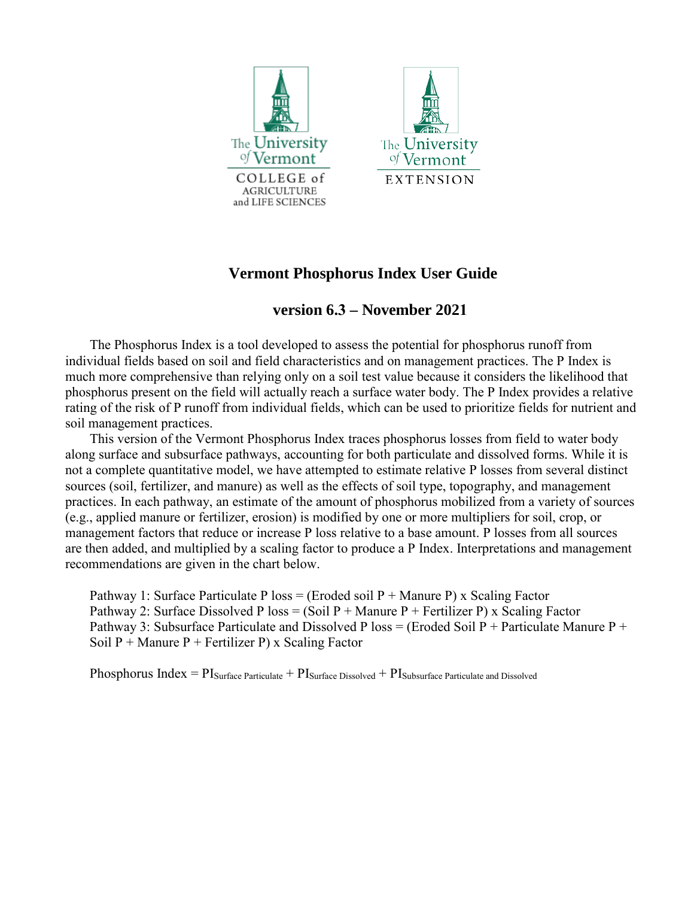



# **Vermont Phosphorus Index User Guide**

## **version 6.3 – November 2021**

The Phosphorus Index is a tool developed to assess the potential for phosphorus runoff from individual fields based on soil and field characteristics and on management practices. The P Index is much more comprehensive than relying only on a soil test value because it considers the likelihood that phosphorus present on the field will actually reach a surface water body. The P Index provides a relative rating of the risk of P runoff from individual fields, which can be used to prioritize fields for nutrient and soil management practices.

This version of the Vermont Phosphorus Index traces phosphorus losses from field to water body along surface and subsurface pathways, accounting for both particulate and dissolved forms. While it is not a complete quantitative model, we have attempted to estimate relative P losses from several distinct sources (soil, fertilizer, and manure) as well as the effects of soil type, topography, and management practices. In each pathway, an estimate of the amount of phosphorus mobilized from a variety of sources (e.g., applied manure or fertilizer, erosion) is modified by one or more multipliers for soil, crop, or management factors that reduce or increase P loss relative to a base amount. P losses from all sources are then added, and multiplied by a scaling factor to produce a P Index. Interpretations and management recommendations are given in the chart below.

Pathway 1: Surface Particulate P loss = (Eroded soil  $P +$  Manure P) x Scaling Factor Pathway 2: Surface Dissolved P loss = (Soil P + Manure P + Fertilizer P) x Scaling Factor Pathway 3: Subsurface Particulate and Dissolved P loss = (Eroded Soil P + Particulate Manure P + Soil  $P +$  Manure  $P +$  Fertilizer P) x Scaling Factor

Phosphorus Index =  $PI_{\text{Surface Particle}} + PI_{\text{Surface Disolved}} + PI_{\text{Subsurface Particle and Disolved}}$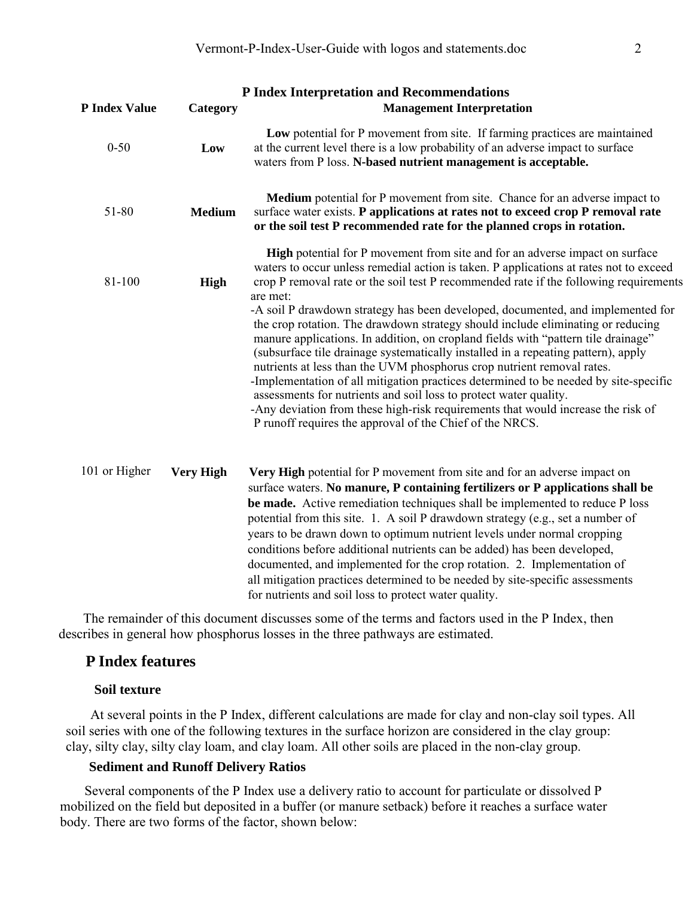|                      |                  | <b>P Index Interpretation and Recommendations</b>                                                                                                                                                                                                                                                                                                                                                                                                                                                                                                                                                                                                                                                                                                                                                                                                                                                                                                                                                                         |
|----------------------|------------------|---------------------------------------------------------------------------------------------------------------------------------------------------------------------------------------------------------------------------------------------------------------------------------------------------------------------------------------------------------------------------------------------------------------------------------------------------------------------------------------------------------------------------------------------------------------------------------------------------------------------------------------------------------------------------------------------------------------------------------------------------------------------------------------------------------------------------------------------------------------------------------------------------------------------------------------------------------------------------------------------------------------------------|
| <b>P Index Value</b> | Category         | <b>Management Interpretation</b>                                                                                                                                                                                                                                                                                                                                                                                                                                                                                                                                                                                                                                                                                                                                                                                                                                                                                                                                                                                          |
| $0 - 50$             | Low              | Low potential for P movement from site. If farming practices are maintained<br>at the current level there is a low probability of an adverse impact to surface<br>waters from P loss. N-based nutrient management is acceptable.                                                                                                                                                                                                                                                                                                                                                                                                                                                                                                                                                                                                                                                                                                                                                                                          |
| 51-80                | <b>Medium</b>    | Medium potential for P movement from site. Chance for an adverse impact to<br>surface water exists. P applications at rates not to exceed crop P removal rate<br>or the soil test P recommended rate for the planned crops in rotation.                                                                                                                                                                                                                                                                                                                                                                                                                                                                                                                                                                                                                                                                                                                                                                                   |
| 81-100               | High             | <b>High</b> potential for P movement from site and for an adverse impact on surface<br>waters to occur unless remedial action is taken. P applications at rates not to exceed<br>crop P removal rate or the soil test P recommended rate if the following requirements<br>are met:<br>-A soil P drawdown strategy has been developed, documented, and implemented for<br>the crop rotation. The drawdown strategy should include eliminating or reducing<br>manure applications. In addition, on cropland fields with "pattern tile drainage"<br>(subsurface tile drainage systematically installed in a repeating pattern), apply<br>nutrients at less than the UVM phosphorus crop nutrient removal rates.<br>-Implementation of all mitigation practices determined to be needed by site-specific<br>assessments for nutrients and soil loss to protect water quality.<br>-Any deviation from these high-risk requirements that would increase the risk of<br>P runoff requires the approval of the Chief of the NRCS. |
| 101 or Higher        | <b>Very High</b> | Very High potential for P movement from site and for an adverse impact on<br>surface waters. No manure, P containing fertilizers or P applications shall be<br>be made. Active remediation techniques shall be implemented to reduce P loss<br>potential from this site. 1. A soil P drawdown strategy (e.g., set a number of<br>years to be drawn down to optimum nutrient levels under normal cropping<br>conditions before additional nutrients can be added) has been developed,<br>documented, and implemented for the crop rotation. 2. Implementation of<br>all mitigation practices determined to be needed by site-specific assessments<br>for nutrients and soil loss to protect water quality.                                                                                                                                                                                                                                                                                                                 |

The remainder of this document discusses some of the terms and factors used in the P Index, then describes in general how phosphorus losses in the three pathways are estimated.

## **P Index features**

#### **Soil texture**

At several points in the P Index, different calculations are made for clay and non-clay soil types. All soil series with one of the following textures in the surface horizon are considered in the clay group: clay, silty clay, silty clay loam, and clay loam. All other soils are placed in the non-clay group.

#### **Sediment and Runoff Delivery Ratios**

Several components of the P Index use a delivery ratio to account for particulate or dissolved P mobilized on the field but deposited in a buffer (or manure setback) before it reaches a surface water body. There are two forms of the factor, shown below: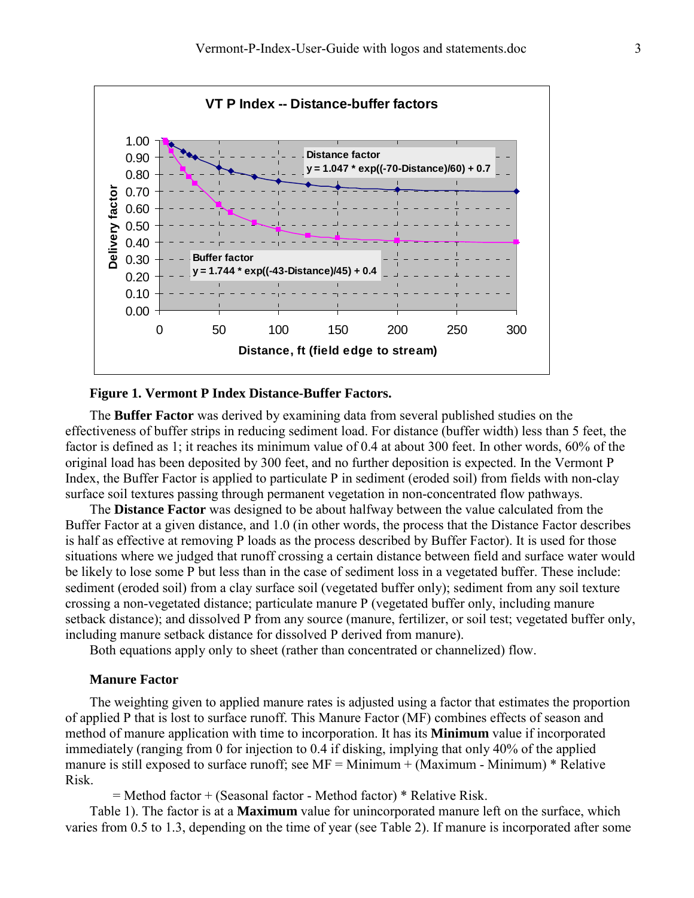

#### **Figure 1. Vermont P Index Distance-Buffer Factors.**

The **Buffer Factor** was derived by examining data from several published studies on the effectiveness of buffer strips in reducing sediment load. For distance (buffer width) less than 5 feet, the factor is defined as 1; it reaches its minimum value of 0.4 at about 300 feet. In other words, 60% of the original load has been deposited by 300 feet, and no further deposition is expected. In the Vermont P Index, the Buffer Factor is applied to particulate P in sediment (eroded soil) from fields with non-clay surface soil textures passing through permanent vegetation in non-concentrated flow pathways.

The **Distance Factor** was designed to be about halfway between the value calculated from the Buffer Factor at a given distance, and 1.0 (in other words, the process that the Distance Factor describes is half as effective at removing P loads as the process described by Buffer Factor). It is used for those situations where we judged that runoff crossing a certain distance between field and surface water would be likely to lose some P but less than in the case of sediment loss in a vegetated buffer. These include: sediment (eroded soil) from a clay surface soil (vegetated buffer only); sediment from any soil texture crossing a non-vegetated distance; particulate manure P (vegetated buffer only, including manure setback distance); and dissolved P from any source (manure, fertilizer, or soil test; vegetated buffer only, including manure setback distance for dissolved P derived from manure).

Both equations apply only to sheet (rather than concentrated or channelized) flow.

#### **Manure Factor**

The weighting given to applied manure rates is adjusted using a factor that estimates the proportion of applied P that is lost to surface runoff. This Manure Factor (MF) combines effects of season and method of manure application with time to incorporation. It has its **Minimum** value if incorporated immediately (ranging from 0 for injection to 0.4 if disking, implying that only 40% of the applied manure is still exposed to surface runoff; see  $MF = Minimum + (Maximum - Minimum) * Relative$ [Risk.](#page-3-0) 

 [= Method factor + \(Seasonal factor - Method factor\) \\* Relative Risk.](#page-3-0)

[Table 1\)](#page-3-0). The factor is at a **Maximum** value for unincorporated manure left on the surface, which varies from 0.5 to 1.3, depending on the time of year (see [Table 2\)](#page-3-1). If manure is incorporated after some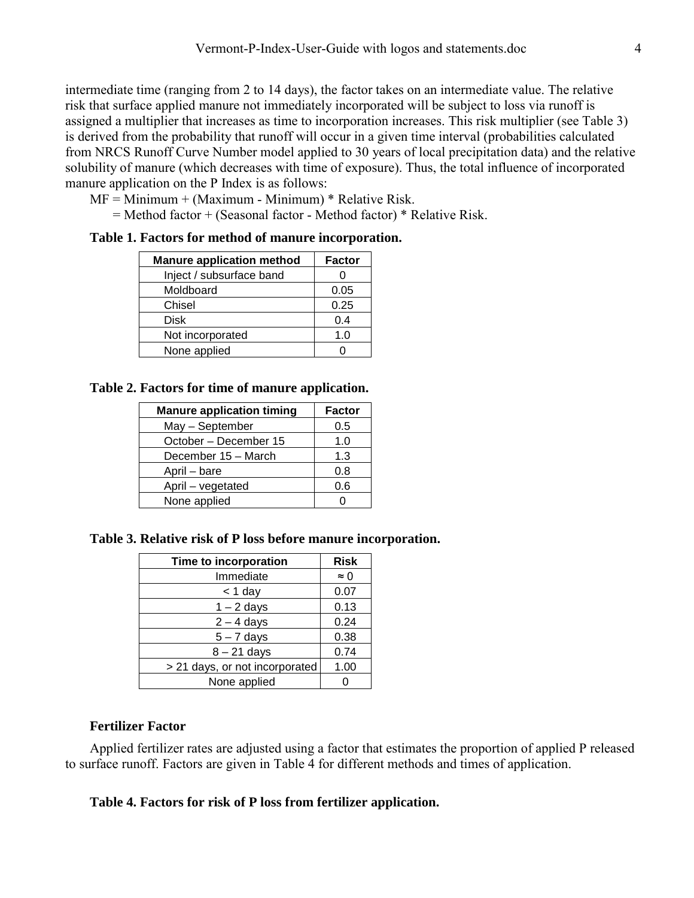intermediate time (ranging from 2 to 14 days), the factor takes on an intermediate value. The relative risk that surface applied manure not immediately incorporated will be subject to loss via runoff is assigned a multiplier that increases as time to incorporation increases. This risk multiplier (see [Table 3\)](#page-3-2) is derived from the probability that runoff will occur in a given time interval (probabilities calculated from NRCS Runoff Curve Number model applied to 30 years of local precipitation data) and the relative solubility of manure (which decreases with time of exposure). Thus, the total influence of incorporated manure application on the P Index is as follows:

<span id="page-3-0"></span> $MF = Minimum + (Maximum - Minimum) * Relative Risk.$ 

 $=$  Method factor + (Seasonal factor - Method factor)  $*$  Relative Risk.

### **Table 1. Factors for method of manure incorporation.**

| <b>Manure application method</b> | <b>Factor</b> |
|----------------------------------|---------------|
| Inject / subsurface band         |               |
| Moldboard                        | 0.05          |
| Chisel                           | 0.25          |
| Disk                             | 0.4           |
| Not incorporated                 | 1.0           |
| None applied                     |               |

## <span id="page-3-1"></span>**Table 2. Factors for time of manure application.**

| <b>Manure application timing</b> | Factor |
|----------------------------------|--------|
| May - September                  | 0.5    |
| October - December 15            | 1.0    |
| December 15 - March              | 1.3    |
| April - bare                     | 0.8    |
| April - vegetated                | 0.6    |
| None applied                     |        |

## <span id="page-3-2"></span>**Table 3. Relative risk of P loss before manure incorporation.**

| Time to incorporation          | <b>Risk</b> |
|--------------------------------|-------------|
| Immediate                      | $\approx 0$ |
| $<$ 1 day                      | 0.07        |
| $1 - 2$ days                   | 0.13        |
| $2 - 4$ days                   | 0.24        |
| $5 - 7$ days                   | 0.38        |
| $8 - 21$ days                  | 0.74        |
| > 21 days, or not incorporated | 1.00        |
| None applied                   |             |

## **Fertilizer Factor**

Applied fertilizer rates are adjusted using a factor that estimates the proportion of applied P released to surface runoff. Factors are given in [Table 4](#page-3-3) for different methods and times of application.

### <span id="page-3-3"></span>**Table 4. Factors for risk of P loss from fertilizer application.**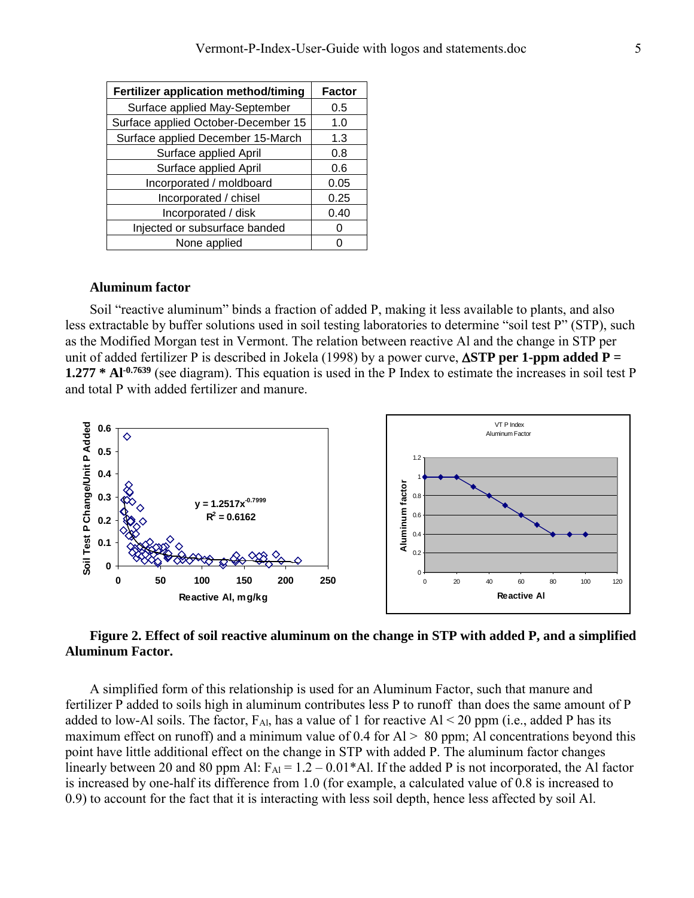| Fertilizer application method/timing | <b>Factor</b> |
|--------------------------------------|---------------|
| Surface applied May-September        | 0.5           |
| Surface applied October-December 15  | 1.0           |
| Surface applied December 15-March    | 1.3           |
| Surface applied April                | 0.8           |
| Surface applied April                | 0.6           |
| Incorporated / moldboard             | 0.05          |
| Incorporated / chisel                | 0.25          |
| Incorporated / disk                  | 0.40          |
| Injected or subsurface banded        |               |
| None applied                         |               |

#### **Aluminum factor**

Soil "reactive aluminum" binds a fraction of added P, making it less available to plants, and also less extractable by buffer solutions used in soil testing laboratories to determine "soil test P" (STP), such as the Modified Morgan test in Vermont. The relation between reactive Al and the change in STP per unit of added fertilizer P is described in Jokela (1998) by a power curve, ∆**STP per 1-ppm added P = 1.277 \* Al-0.7639** (see diagram). This equation is used in the P Index to estimate the increases in soil test P and total P with added fertilizer and manure.



**Figure 2. Effect of soil reactive aluminum on the change in STP with added P, and a simplified Aluminum Factor.**

A simplified form of this relationship is used for an Aluminum Factor, such that manure and fertilizer P added to soils high in aluminum contributes less P to runoff than does the same amount of P added to low-Al soils. The factor,  $F_{Al}$ , has a value of 1 for reactive Al < 20 ppm (i.e., added P has its maximum effect on runoff) and a minimum value of 0.4 for  $Al > 80$  ppm; Al concentrations beyond this point have little additional effect on the change in STP with added P. The aluminum factor changes linearly between 20 and 80 ppm Al:  $F_{Al} = 1.2 - 0.01$ <sup>\*</sup>Al. If the added P is not incorporated, the Al factor is increased by one-half its difference from 1.0 (for example, a calculated value of 0.8 is increased to 0.9) to account for the fact that it is interacting with less soil depth, hence less affected by soil Al.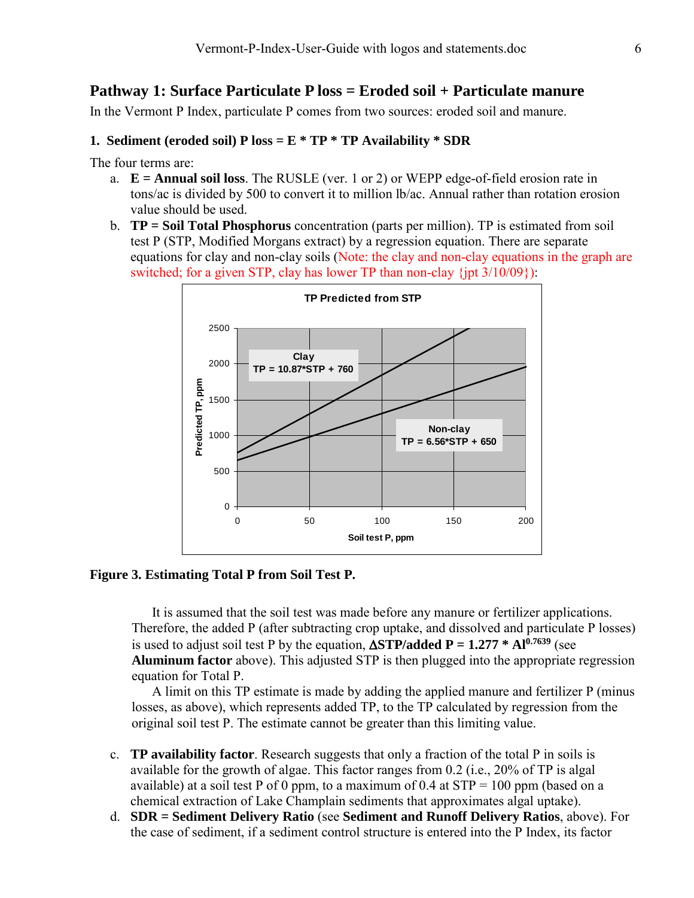## **Pathway 1: Surface Particulate P loss = Eroded soil + Particulate manure**

In the Vermont P Index, particulate P comes from two sources: eroded soil and manure.

## **1. Sediment (eroded soil) P loss = E \* TP \* TP Availability \* SDR**

The four terms are:

- a. **E = Annual soil loss**. The RUSLE (ver. 1 or 2) or WEPP edge-of-field erosion rate in tons/ac is divided by 500 to convert it to million lb/ac. Annual rather than rotation erosion value should be used.
- b. **TP = Soil Total Phosphorus** concentration (parts per million). TP is estimated from soil test P (STP, Modified Morgans extract) by a regression equation. There are separate equations for clay and non-clay soils (Note: the clay and non-clay equations in the graph are switched; for a given STP, clay has lower TP than non-clay  $\{jpt\ 3/10/09\}$ :



#### **Figure 3. Estimating Total P from Soil Test P.**

It is assumed that the soil test was made before any manure or fertilizer applications. Therefore, the added P (after subtracting crop uptake, and dissolved and particulate P losses) is used to adjust soil test P by the equation,  $\Delta STP$ /added  $P = 1.277 * Al^{0.7639}$  (see **Aluminum factor** above). This adjusted STP is then plugged into the appropriate regression equation for Total P.

A limit on this TP estimate is made by adding the applied manure and fertilizer P (minus losses, as above), which represents added TP, to the TP calculated by regression from the original soil test P. The estimate cannot be greater than this limiting value.

- c. **TP availability factor**. Research suggests that only a fraction of the total P in soils is available for the growth of algae. This factor ranges from 0.2 (i.e., 20% of TP is algal available) at a soil test P of 0 ppm, to a maximum of 0.4 at  $STP = 100$  ppm (based on a chemical extraction of Lake Champlain sediments that approximates algal uptake).
- d. **SDR = Sediment Delivery Ratio** (see **Sediment and Runoff Delivery Ratios**, above). For the case of sediment, if a sediment control structure is entered into the P Index, its factor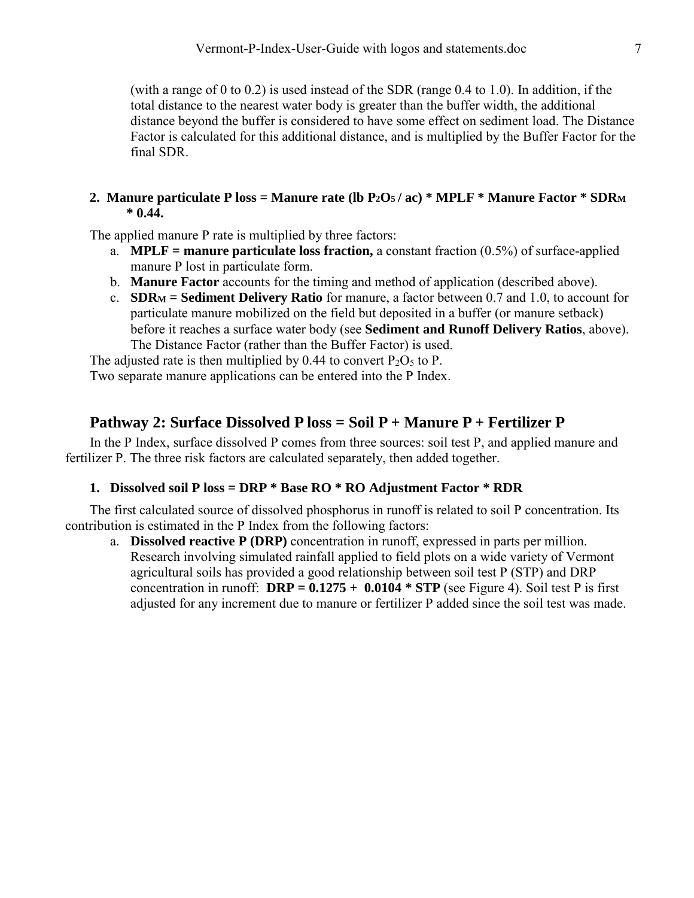(with a range of 0 to 0.2) is used instead of the SDR (range 0.4 to 1.0). In addition, if the total distance to the nearest water body is greater than the buffer width, the additional distance beyond the buffer is considered to have some effect on sediment load. The Distance Factor is calculated for this additional distance, and is multiplied by the Buffer Factor for the final SDR.

## **2. Manure particulate P loss = Manure rate (lb P2O5 / ac) \* MPLF \* Manure Factor \* SDRM \* 0.44.**

The applied manure P rate is multiplied by three factors:

- a. **MPLF = manure particulate loss fraction,** a constant fraction (0.5%) of surface-applied manure P lost in particulate form.
- b. **Manure Factor** accounts for the timing and method of application (described above).
- c. **SDRM = Sediment Delivery Ratio** for manure, a factor between 0.7 and 1.0, to account for particulate manure mobilized on the field but deposited in a buffer (or manure setback) before it reaches a surface water body (see **Sediment and Runoff Delivery Ratios**, above). The Distance Factor (rather than the Buffer Factor) is used.

The adjusted rate is then multiplied by 0.44 to convert  $P_2O_5$  to P. Two separate manure applications can be entered into the P Index.

# **Pathway 2: Surface Dissolved P loss = Soil P + Manure P + Fertilizer P**

In the P Index, surface dissolved P comes from three sources: soil test P, and applied manure and fertilizer P. The three risk factors are calculated separately, then added together.

## **1. Dissolved soil P loss = DRP \* Base RO \* RO Adjustment Factor \* RDR**

The first calculated source of dissolved phosphorus in runoff is related to soil P concentration. Its contribution is estimated in the P Index from the following factors:

a. **Dissolved reactive P (DRP)** concentration in runoff, expressed in parts per million. Research involving simulated rainfall applied to field plots on a wide variety of Vermont agricultural soils has provided a good relationship between soil test P (STP) and DRP concentration in runoff:  $\text{DRP} = 0.1275 + 0.0104 * \text{STP}$  (see [Figure 4\)](#page-7-0). Soil test P is first adjusted for any increment due to manure or fertilizer P added since the soil test was made.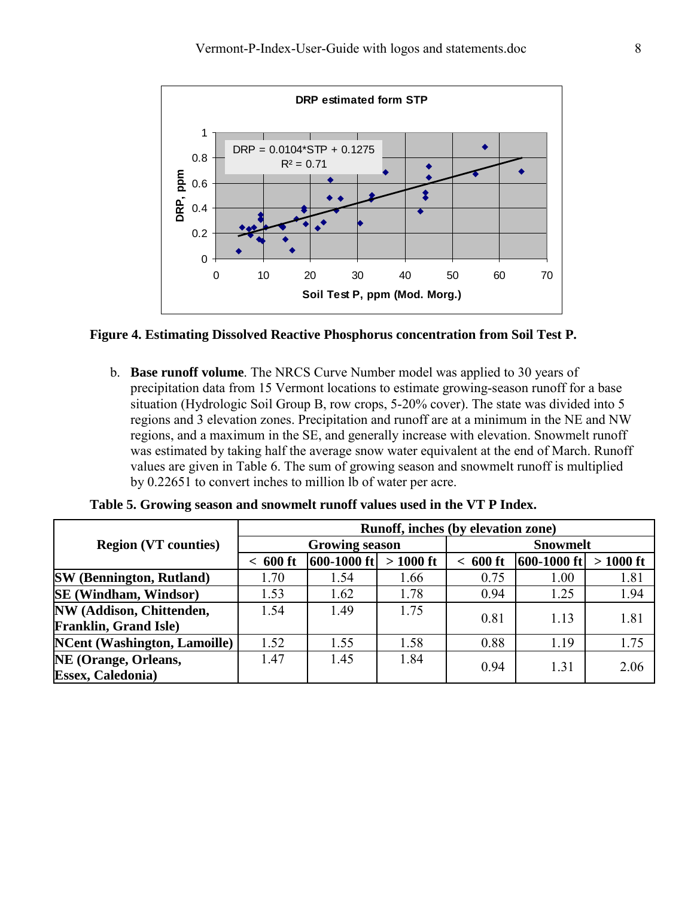

#### <span id="page-7-0"></span>**Figure 4. Estimating Dissolved Reactive Phosphorus concentration from Soil Test P.**

b. **Base runoff volume**. The NRCS Curve Number model was applied to 30 years of precipitation data from 15 Vermont locations to estimate growing-season runoff for a base situation (Hydrologic Soil Group B, row crops, 5-20% cover). The state was divided into 5 regions and 3 elevation zones. Precipitation and runoff are at a minimum in the NE and NW regions, and a maximum in the SE, and generally increase with elevation. Snowmelt runoff was estimated by taking half the average snow water equivalent at the end of March. Runoff values are given in Table 6. The sum of growing season and snowmelt runoff is multiplied by 0.22651 to convert inches to million lb of water per acre.

|                                     | Runoff, inches (by elevation zone) |                       |            |                 |             |            |  |  |
|-------------------------------------|------------------------------------|-----------------------|------------|-----------------|-------------|------------|--|--|
| <b>Region (VT counties)</b>         |                                    | <b>Growing season</b> |            | <b>Snowmelt</b> |             |            |  |  |
|                                     | 600 ft                             | 600-1000 ft           | $>1000$ ft | 600 ft          | 600-1000 ft | $>1000$ ft |  |  |
| <b>SW</b> (Bennington, Rutland)     | 1.70                               | 1.54                  | 1.66       | 0.75            | 1.00        | 1.81       |  |  |
| <b>SE</b> (Windham, Windsor)        | 1.53                               | 1.62                  | 1.78       | 0.94            | 1.25        | 1.94       |  |  |
| NW (Addison, Chittenden,            | 1.54                               | 1.49                  | 1.75       | 0.81            | 1.13        | 1.81       |  |  |
| <b>Franklin, Grand Isle</b> )       |                                    |                       |            |                 |             |            |  |  |
| <b>NCent (Washington, Lamoille)</b> | 1.52                               | 1.55                  | 1.58       | 0.88            | 1.19        | 1.75       |  |  |
| NE (Orange, Orleans,                | 1.47                               | 1.45                  | 1.84       | 0.94            | 1.31        | 2.06       |  |  |
| <b>Essex, Caledonia</b> )           |                                    |                       |            |                 |             |            |  |  |

| Table 5. Growing season and snowmelt runoff values used in the VT P Index. |  |  |  |
|----------------------------------------------------------------------------|--|--|--|
|----------------------------------------------------------------------------|--|--|--|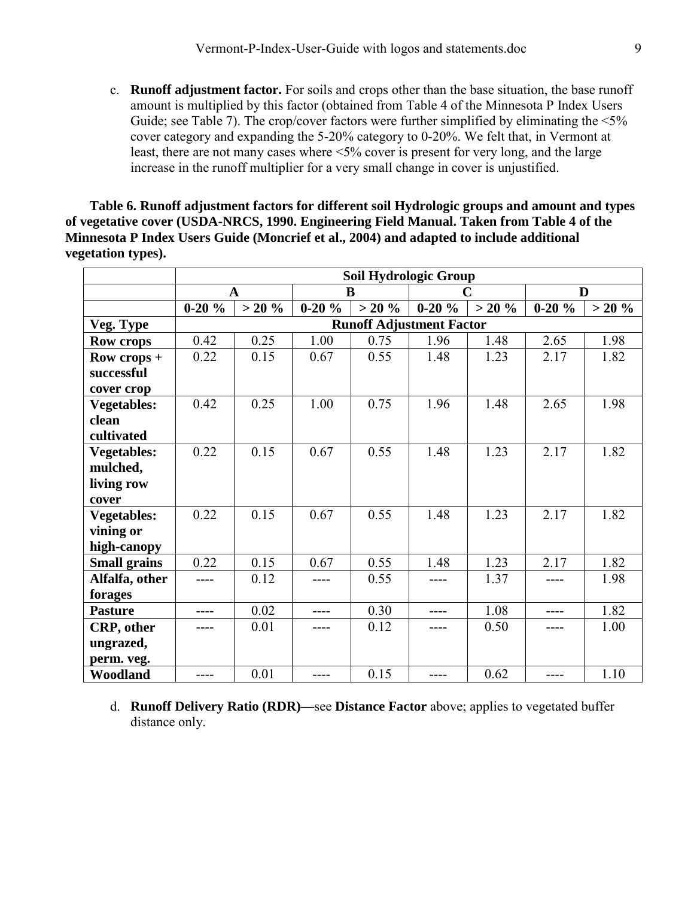c. **Runoff adjustment factor.** For soils and crops other than the base situation, the base runoff amount is multiplied by this factor (obtained from Table 4 of the Minnesota P Index Users Guide; see Table 7). The crop/cover factors were further simplified by eliminating the  $\leq 5\%$ cover category and expanding the 5-20% category to 0-20%. We felt that, in Vermont at least, there are not many cases where <5% cover is present for very long, and the large increase in the runoff multiplier for a very small change in cover is unjustified.

**Table 6. Runoff adjustment factors for different soil Hydrologic groups and amount and types of vegetative cover (USDA-NRCS, 1990. Engineering Field Manual. Taken from Table 4 of the Minnesota P Index Users Guide (Moncrief et al., 2004) and adapted to include additional vegetation types).** 

|                     | <b>Soil Hydrologic Group</b> |          |         |           |                                 |          |         |           |
|---------------------|------------------------------|----------|---------|-----------|---------------------------------|----------|---------|-----------|
|                     |                              | A        | B       |           | C                               |          | D       |           |
|                     | $0-20%$                      | $> 20\%$ | $0-20%$ | $> 20 \%$ | $0-20%$                         | $> 20\%$ | $0-20%$ | $> 20 \%$ |
| Veg. Type           |                              |          |         |           | <b>Runoff Adjustment Factor</b> |          |         |           |
| <b>Row crops</b>    | 0.42                         | 0.25     | 1.00    | 0.75      | 1.96                            | 1.48     | 2.65    | 1.98      |
| $Row$ crops +       | 0.22                         | 0.15     | 0.67    | 0.55      | 1.48                            | 1.23     | 2.17    | 1.82      |
| successful          |                              |          |         |           |                                 |          |         |           |
| cover crop          |                              |          |         |           |                                 |          |         |           |
| <b>Vegetables:</b>  | 0.42                         | 0.25     | 1.00    | 0.75      | 1.96                            | 1.48     | 2.65    | 1.98      |
| clean               |                              |          |         |           |                                 |          |         |           |
| cultivated          |                              |          |         |           |                                 |          |         |           |
| <b>Vegetables:</b>  | 0.22                         | 0.15     | 0.67    | 0.55      | 1.48                            | 1.23     | 2.17    | 1.82      |
| mulched,            |                              |          |         |           |                                 |          |         |           |
| living row          |                              |          |         |           |                                 |          |         |           |
| cover               |                              |          |         |           |                                 |          |         |           |
| <b>Vegetables:</b>  | 0.22                         | 0.15     | 0.67    | 0.55      | 1.48                            | 1.23     | 2.17    | 1.82      |
| vining or           |                              |          |         |           |                                 |          |         |           |
| high-canopy         |                              |          |         |           |                                 |          |         |           |
| <b>Small grains</b> | 0.22                         | 0.15     | 0.67    | 0.55      | 1.48                            | 1.23     | 2.17    | 1.82      |
| Alfalfa, other      | ----                         | 0.12     | ----    | 0.55      | ----                            | 1.37     | ----    | 1.98      |
| forages             |                              |          |         |           |                                 |          |         |           |
| <b>Pasture</b>      |                              | 0.02     |         | 0.30      |                                 | 1.08     |         | 1.82      |
| CRP, other          |                              | 0.01     | ----    | 0.12      |                                 | 0.50     | ----    | 1.00      |
| ungrazed,           |                              |          |         |           |                                 |          |         |           |
| perm. veg.          |                              |          |         |           |                                 |          |         |           |
| Woodland            | ----                         | 0.01     | ----    | 0.15      | ----                            | 0.62     | ----    | 1.10      |

d. **Runoff Delivery Ratio (RDR)—**see **Distance Factor** above; applies to vegetated buffer distance only.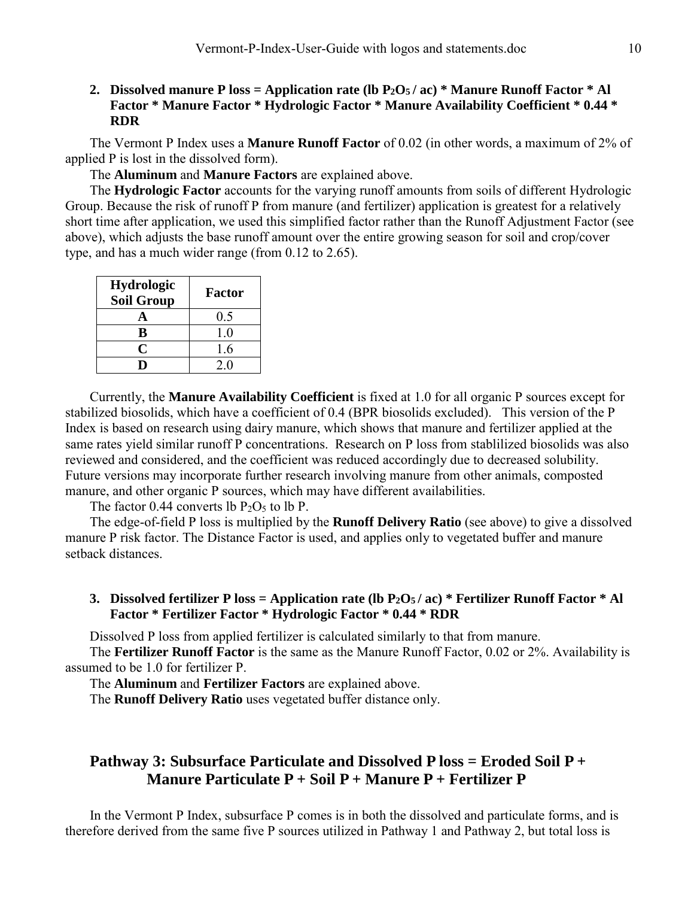## **2. Dissolved manure P loss = Application rate (lb P2O5 / ac) \* Manure Runoff Factor \* Al Factor \* Manure Factor \* Hydrologic Factor \* Manure Availability Coefficient \* 0.44 \* RDR**

The Vermont P Index uses a **Manure Runoff Factor** of 0.02 (in other words, a maximum of 2% of applied P is lost in the dissolved form).

The **Aluminum** and **Manure Factors** are explained above.

The **Hydrologic Factor** accounts for the varying runoff amounts from soils of different Hydrologic Group. Because the risk of runoff P from manure (and fertilizer) application is greatest for a relatively short time after application, we used this simplified factor rather than the Runoff Adjustment Factor (see above), which adjusts the base runoff amount over the entire growing season for soil and crop/cover type, and has a much wider range (from 0.12 to 2.65).

| <b>Hydrologic</b><br><b>Soil Group</b> | <b>Factor</b> |
|----------------------------------------|---------------|
|                                        | 0.5           |
| B                                      | 1.0           |
| C                                      | 1.6           |
|                                        | 2.0           |

Currently, the **Manure Availability Coefficient** is fixed at 1.0 for all organic P sources except for stabilized biosolids, which have a coefficient of 0.4 (BPR biosolids excluded). This version of the P Index is based on research using dairy manure, which shows that manure and fertilizer applied at the same rates yield similar runoff P concentrations. Research on P loss from stablilized biosolids was also reviewed and considered, and the coefficient was reduced accordingly due to decreased solubility. Future versions may incorporate further research involving manure from other animals, composted manure, and other organic P sources, which may have different availabilities.

The factor 0.44 converts lb  $P_2O_5$  to lb P.

The edge-of-field P loss is multiplied by the **Runoff Delivery Ratio** (see above) to give a dissolved manure P risk factor. The Distance Factor is used, and applies only to vegetated buffer and manure setback distances.

### **3. Dissolved fertilizer P loss = Application rate (lb P2O5 / ac) \* Fertilizer Runoff Factor \* Al Factor \* Fertilizer Factor \* Hydrologic Factor \* 0.44 \* RDR**

Dissolved P loss from applied fertilizer is calculated similarly to that from manure.

The **Fertilizer Runoff Factor** is the same as the Manure Runoff Factor, 0.02 or 2%. Availability is assumed to be 1.0 for fertilizer P.

The **Aluminum** and **Fertilizer Factors** are explained above.

The **Runoff Delivery Ratio** uses vegetated buffer distance only.

# **Pathway 3: Subsurface Particulate and Dissolved P loss = Eroded Soil P + Manure Particulate P + Soil P + Manure P + Fertilizer P**

In the Vermont P Index, subsurface P comes is in both the dissolved and particulate forms, and is therefore derived from the same five P sources utilized in Pathway 1 and Pathway 2, but total loss is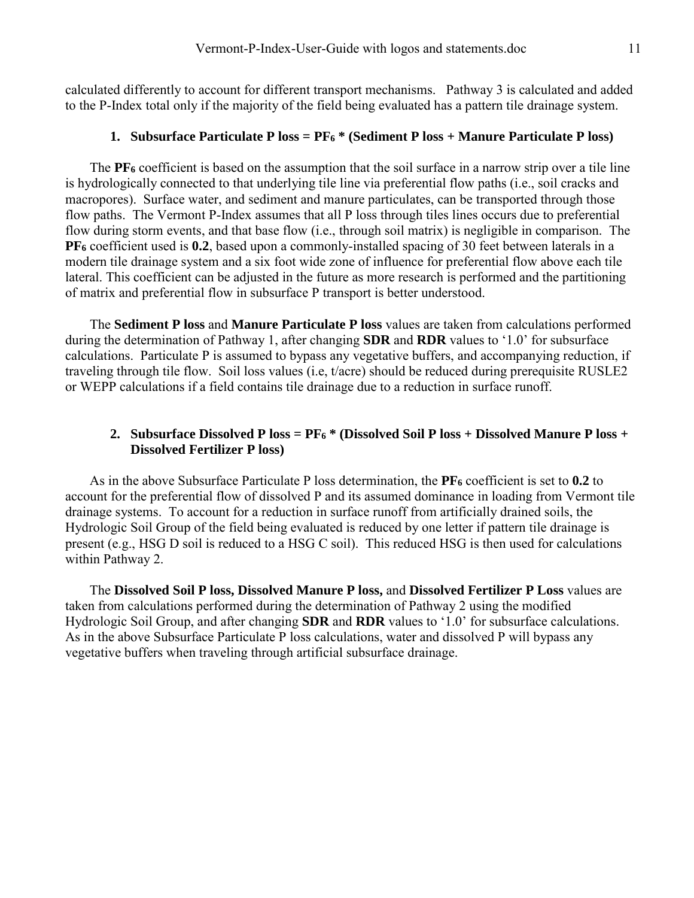calculated differently to account for different transport mechanisms. Pathway 3 is calculated and added to the P-Index total only if the majority of the field being evaluated has a pattern tile drainage system.

#### **1. Subsurface Particulate P loss = PF6 \* (Sediment P loss + Manure Particulate P loss)**

The **PF6** coefficient is based on the assumption that the soil surface in a narrow strip over a tile line is hydrologically connected to that underlying tile line via preferential flow paths (i.e., soil cracks and macropores). Surface water, and sediment and manure particulates, can be transported through those flow paths. The Vermont P-Index assumes that all P loss through tiles lines occurs due to preferential flow during storm events, and that base flow (i.e., through soil matrix) is negligible in comparison. The **PF6** coefficient used is **0.2**, based upon a commonly-installed spacing of 30 feet between laterals in a modern tile drainage system and a six foot wide zone of influence for preferential flow above each tile lateral. This coefficient can be adjusted in the future as more research is performed and the partitioning of matrix and preferential flow in subsurface P transport is better understood.

The **Sediment P loss** and **Manure Particulate P loss** values are taken from calculations performed during the determination of Pathway 1, after changing **SDR** and **RDR** values to '1.0' for subsurface calculations. Particulate P is assumed to bypass any vegetative buffers, and accompanying reduction, if traveling through tile flow. Soil loss values (i.e, t/acre) should be reduced during prerequisite RUSLE2 or WEPP calculations if a field contains tile drainage due to a reduction in surface runoff.

#### **2. Subsurface Dissolved P loss = PF6 \* (Dissolved Soil P loss + Dissolved Manure P loss + Dissolved Fertilizer P loss)**

As in the above Subsurface Particulate P loss determination, the **PF6** coefficient is set to **0.2** to account for the preferential flow of dissolved P and its assumed dominance in loading from Vermont tile drainage systems. To account for a reduction in surface runoff from artificially drained soils, the Hydrologic Soil Group of the field being evaluated is reduced by one letter if pattern tile drainage is present (e.g., HSG D soil is reduced to a HSG C soil). This reduced HSG is then used for calculations within Pathway 2.

The **Dissolved Soil P loss, Dissolved Manure P loss,** and **Dissolved Fertilizer P Loss** values are taken from calculations performed during the determination of Pathway 2 using the modified Hydrologic Soil Group, and after changing **SDR** and **RDR** values to '1.0' for subsurface calculations. As in the above Subsurface Particulate P loss calculations, water and dissolved P will bypass any vegetative buffers when traveling through artificial subsurface drainage.